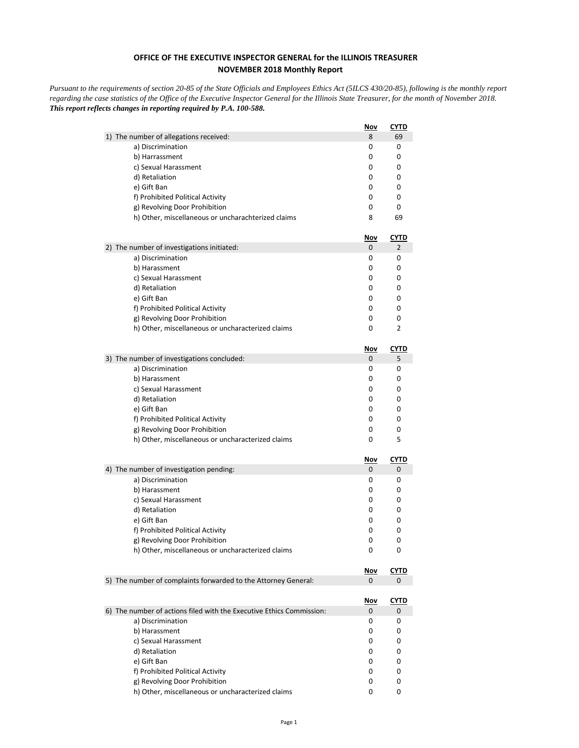## **OFFICE OF THE EXECUTIVE INSPECTOR GENERAL for the ILLINOIS TREASURER NOVEMBER 2018 Monthly Report**

*Pursuant to the requirements of section 20-85 of the State Officials and Employees Ethics Act (5ILCS 430/20-85), following is the monthly report regarding the case statistics of the Office of the Executive Inspector General for the Illinois State Treasurer, for the month of November 2018. This report reflects changes in reporting required by P.A. 100-588.*

|                                                                      | <u>Nov</u> | <u>CYTD</u> |
|----------------------------------------------------------------------|------------|-------------|
| 1) The number of allegations received:                               | 8          | 69          |
| a) Discrimination                                                    | 0          | 0           |
| b) Harrassment                                                       | 0          | 0           |
| c) Sexual Harassment                                                 | 0          | 0           |
| d) Retaliation                                                       | 0          | 0           |
| e) Gift Ban                                                          | 0          | 0           |
| f) Prohibited Political Activity                                     | 0          | 0           |
| g) Revolving Door Prohibition                                        | 0          | 0           |
| h) Other, miscellaneous or uncharachterized claims                   | 8          | 69          |
|                                                                      | <u>Nov</u> | <u>CYTD</u> |
| 2) The number of investigations initiated:                           | 0          | 2           |
| a) Discrimination                                                    | 0          | 0           |
| b) Harassment                                                        | 0          | 0           |
| c) Sexual Harassment                                                 | 0          | 0           |
| d) Retaliation                                                       | 0          | 0           |
| e) Gift Ban                                                          | 0          | 0           |
| f) Prohibited Political Activity                                     | 0          | 0           |
| g) Revolving Door Prohibition                                        | 0          | 0           |
| h) Other, miscellaneous or uncharacterized claims                    | 0          | 2           |
|                                                                      | Nov        | <b>CYTD</b> |
| 3) The number of investigations concluded:                           | 0          | 5           |
| a) Discrimination                                                    | 0          | 0           |
| b) Harassment                                                        | 0          | 0           |
| c) Sexual Harassment                                                 | 0          | 0           |
| d) Retaliation                                                       | 0          | 0           |
| e) Gift Ban                                                          | 0          | 0           |
| f) Prohibited Political Activity                                     | 0          | 0           |
| g) Revolving Door Prohibition                                        | 0          | 0           |
| h) Other, miscellaneous or uncharacterized claims                    | 0          | 5           |
|                                                                      | <u>Nov</u> | <b>CYTD</b> |
| 4) The number of investigation pending:                              | 0          | 0           |
| a) Discrimination                                                    | 0          | 0           |
| b) Harassment                                                        | 0          | 0           |
| c) Sexual Harassment                                                 | 0          | 0           |
| d) Retaliation                                                       | 0          | 0           |
| e) Gift Ban                                                          | 0          | 0           |
| f) Prohibited Political Activity                                     | 0          | 0           |
| g) Revolving Door Prohibition                                        | 0          | 0           |
| h) Other, miscellaneous or uncharacterized claims                    | 0          | 0           |
|                                                                      | <u>Nov</u> | <b>CYTD</b> |
| 5) The number of complaints forwarded to the Attorney General:       | 0          | 0           |
|                                                                      |            |             |
|                                                                      | <u>Nov</u> | <u>CYTD</u> |
| 6) The number of actions filed with the Executive Ethics Commission: | 0          | 0           |
| a) Discrimination                                                    | 0          | 0           |
| b) Harassment                                                        | 0          | 0           |
| c) Sexual Harassment                                                 | 0          | 0           |
| d) Retaliation                                                       | 0          | 0           |
| e) Gift Ban                                                          | 0          | 0           |
| f) Prohibited Political Activity                                     | 0          | 0           |
| g) Revolving Door Prohibition                                        | 0          | 0           |
| h) Other, miscellaneous or uncharacterized claims                    | 0          | 0           |